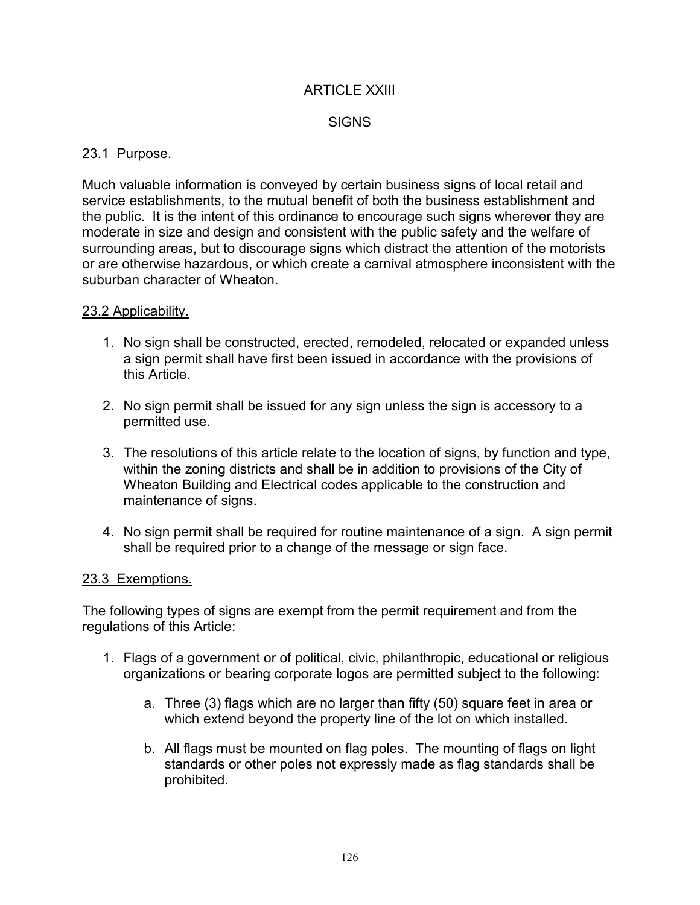### ARTICLE XXIII

### **SIGNS**

### 23.1 Purpose.

Much valuable information is conveyed by certain business signs of local retail and service establishments, to the mutual benefit of both the business establishment and the public. It is the intent of this ordinance to encourage such signs wherever they are moderate in size and design and consistent with the public safety and the welfare of surrounding areas, but to discourage signs which distract the attention of the motorists or are otherwise hazardous, or which create a carnival atmosphere inconsistent with the suburban character of Wheaton.

#### 23.2 Applicability.

- 1. No sign shall be constructed, erected, remodeled, relocated or expanded unless a sign permit shall have first been issued in accordance with the provisions of this Article.
- 2. No sign permit shall be issued for any sign unless the sign is accessory to a permitted use.
- 3. The resolutions of this article relate to the location of signs, by function and type, within the zoning districts and shall be in addition to provisions of the City of Wheaton Building and Electrical codes applicable to the construction and maintenance of signs.
- 4. No sign permit shall be required for routine maintenance of a sign. A sign permit shall be required prior to a change of the message or sign face.

#### 23.3 Exemptions.

The following types of signs are exempt from the permit requirement and from the regulations of this Article:

- 1. Flags of a government or of political, civic, philanthropic, educational or religious organizations or bearing corporate logos are permitted subject to the following:
	- a. Three (3) flags which are no larger than fifty (50) square feet in area or which extend beyond the property line of the lot on which installed.
	- b. All flags must be mounted on flag poles. The mounting of flags on light standards or other poles not expressly made as flag standards shall be prohibited.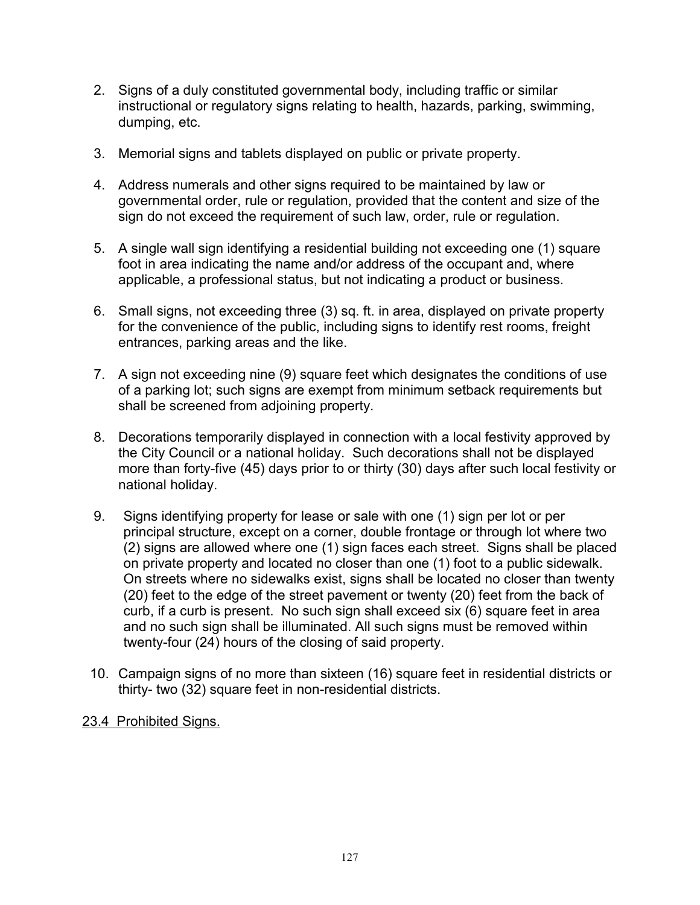- 2. Signs of a duly constituted governmental body, including traffic or similar instructional or regulatory signs relating to health, hazards, parking, swimming, dumping, etc.
- 3. Memorial signs and tablets displayed on public or private property.
- 4. Address numerals and other signs required to be maintained by law or governmental order, rule or regulation, provided that the content and size of the sign do not exceed the requirement of such law, order, rule or regulation.
- 5. A single wall sign identifying a residential building not exceeding one (1) square foot in area indicating the name and/or address of the occupant and, where applicable, a professional status, but not indicating a product or business.
- 6. Small signs, not exceeding three (3) sq. ft. in area, displayed on private property for the convenience of the public, including signs to identify rest rooms, freight entrances, parking areas and the like.
- 7. A sign not exceeding nine (9) square feet which designates the conditions of use of a parking lot; such signs are exempt from minimum setback requirements but shall be screened from adjoining property.
- 8. Decorations temporarily displayed in connection with a local festivity approved by the City Council or a national holiday. Such decorations shall not be displayed more than forty-five (45) days prior to or thirty (30) days after such local festivity or national holiday.
- 9. Signs identifying property for lease or sale with one (1) sign per lot or per principal structure, except on a corner, double frontage or through lot where two (2) signs are allowed where one (1) sign faces each street. Signs shall be placed on private property and located no closer than one (1) foot to a public sidewalk. On streets where no sidewalks exist, signs shall be located no closer than twenty (20) feet to the edge of the street pavement or twenty (20) feet from the back of curb, if a curb is present. No such sign shall exceed six (6) square feet in area and no such sign shall be illuminated. All such signs must be removed within twenty-four (24) hours of the closing of said property.
- 10. Campaign signs of no more than sixteen (16) square feet in residential districts or thirty- two (32) square feet in non-residential districts.
- 23.4 Prohibited Signs.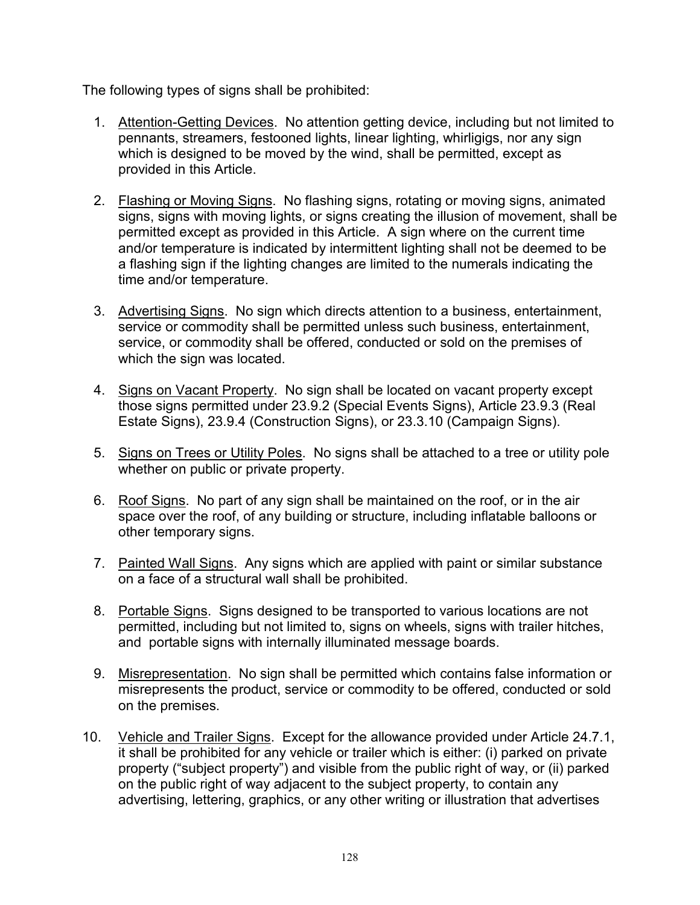The following types of signs shall be prohibited:

- 1. Attention-Getting Devices. No attention getting device, including but not limited to pennants, streamers, festooned lights, linear lighting, whirligigs, nor any sign which is designed to be moved by the wind, shall be permitted, except as provided in this Article.
- 2. Flashing or Moving Signs. No flashing signs, rotating or moving signs, animated signs, signs with moving lights, or signs creating the illusion of movement, shall be permitted except as provided in this Article. A sign where on the current time and/or temperature is indicated by intermittent lighting shall not be deemed to be a flashing sign if the lighting changes are limited to the numerals indicating the time and/or temperature.
- 3. Advertising Signs. No sign which directs attention to a business, entertainment, service or commodity shall be permitted unless such business, entertainment, service, or commodity shall be offered, conducted or sold on the premises of which the sign was located.
- 4. Signs on Vacant Property. No sign shall be located on vacant property except those signs permitted under 23.9.2 (Special Events Signs), Article 23.9.3 (Real Estate Signs), 23.9.4 (Construction Signs), or 23.3.10 (Campaign Signs).
- 5. Signs on Trees or Utility Poles. No signs shall be attached to a tree or utility pole whether on public or private property.
- 6. Roof Signs. No part of any sign shall be maintained on the roof, or in the air space over the roof, of any building or structure, including inflatable balloons or other temporary signs.
- 7. Painted Wall Signs. Any signs which are applied with paint or similar substance on a face of a structural wall shall be prohibited.
- 8. Portable Signs. Signs designed to be transported to various locations are not permitted, including but not limited to, signs on wheels, signs with trailer hitches, and portable signs with internally illuminated message boards.
- 9. Misrepresentation. No sign shall be permitted which contains false information or misrepresents the product, service or commodity to be offered, conducted or sold on the premises.
- 10. Vehicle and Trailer Signs. Except for the allowance provided under Article 24.7.1, it shall be prohibited for any vehicle or trailer which is either: (i) parked on private property ("subject property") and visible from the public right of way, or (ii) parked on the public right of way adjacent to the subject property, to contain any advertising, lettering, graphics, or any other writing or illustration that advertises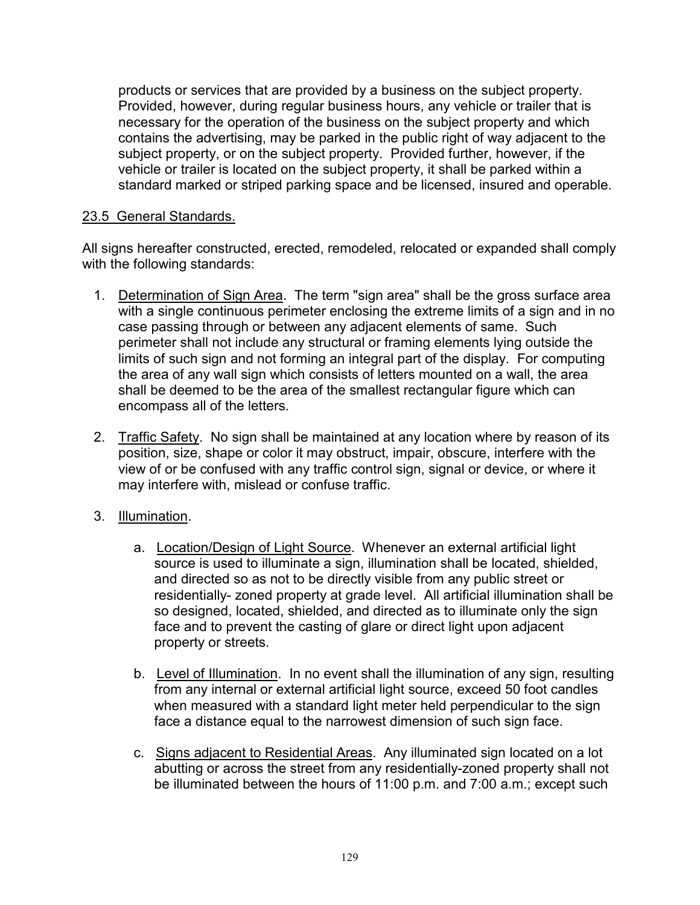products or services that are provided by a business on the subject property. Provided, however, during regular business hours, any vehicle or trailer that is necessary for the operation of the business on the subject property and which contains the advertising, may be parked in the public right of way adjacent to the subject property, or on the subject property. Provided further, however, if the vehicle or trailer is located on the subject property, it shall be parked within a standard marked or striped parking space and be licensed, insured and operable.

## 23.5 General Standards.

All signs hereafter constructed, erected, remodeled, relocated or expanded shall comply with the following standards:

- 1. Determination of Sign Area. The term "sign area" shall be the gross surface area with a single continuous perimeter enclosing the extreme limits of a sign and in no case passing through or between any adjacent elements of same. Such perimeter shall not include any structural or framing elements lying outside the limits of such sign and not forming an integral part of the display. For computing the area of any wall sign which consists of letters mounted on a wall, the area shall be deemed to be the area of the smallest rectangular figure which can encompass all of the letters.
- 2. Traffic Safety. No sign shall be maintained at any location where by reason of its position, size, shape or color it may obstruct, impair, obscure, interfere with the view of or be confused with any traffic control sign, signal or device, or where it may interfere with, mislead or confuse traffic.
- 3. Illumination.
	- a. Location/Design of Light Source. Whenever an external artificial light source is used to illuminate a sign, illumination shall be located, shielded, and directed so as not to be directly visible from any public street or residentially- zoned property at grade level. All artificial illumination shall be so designed, located, shielded, and directed as to illuminate only the sign face and to prevent the casting of glare or direct light upon adjacent property or streets.
	- b. Level of Illumination. In no event shall the illumination of any sign, resulting from any internal or external artificial light source, exceed 50 foot candles when measured with a standard light meter held perpendicular to the sign face a distance equal to the narrowest dimension of such sign face.
	- c. Signs adjacent to Residential Areas. Any illuminated sign located on a lot abutting or across the street from any residentially-zoned property shall not be illuminated between the hours of 11:00 p.m. and 7:00 a.m.; except such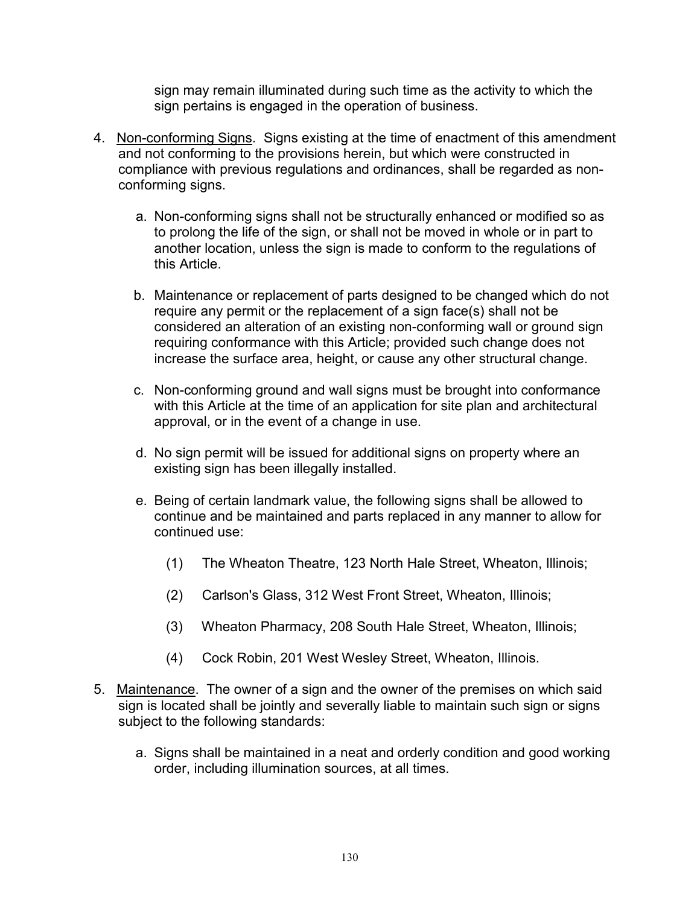sign may remain illuminated during such time as the activity to which the sign pertains is engaged in the operation of business.

- 4. Non-conforming Signs. Signs existing at the time of enactment of this amendment and not conforming to the provisions herein, but which were constructed in compliance with previous regulations and ordinances, shall be regarded as nonconforming signs.
	- a. Non-conforming signs shall not be structurally enhanced or modified so as to prolong the life of the sign, or shall not be moved in whole or in part to another location, unless the sign is made to conform to the regulations of this Article.
	- b. Maintenance or replacement of parts designed to be changed which do not require any permit or the replacement of a sign face(s) shall not be considered an alteration of an existing non-conforming wall or ground sign requiring conformance with this Article; provided such change does not increase the surface area, height, or cause any other structural change.
	- c. Non-conforming ground and wall signs must be brought into conformance with this Article at the time of an application for site plan and architectural approval, or in the event of a change in use.
	- d. No sign permit will be issued for additional signs on property where an existing sign has been illegally installed.
	- e. Being of certain landmark value, the following signs shall be allowed to continue and be maintained and parts replaced in any manner to allow for continued use:
		- (1) The Wheaton Theatre, 123 North Hale Street, Wheaton, Illinois;
		- (2) Carlson's Glass, 312 West Front Street, Wheaton, Illinois;
		- (3) Wheaton Pharmacy, 208 South Hale Street, Wheaton, Illinois;
		- (4) Cock Robin, 201 West Wesley Street, Wheaton, Illinois.
- 5. Maintenance. The owner of a sign and the owner of the premises on which said sign is located shall be jointly and severally liable to maintain such sign or signs subject to the following standards:
	- a. Signs shall be maintained in a neat and orderly condition and good working order, including illumination sources, at all times.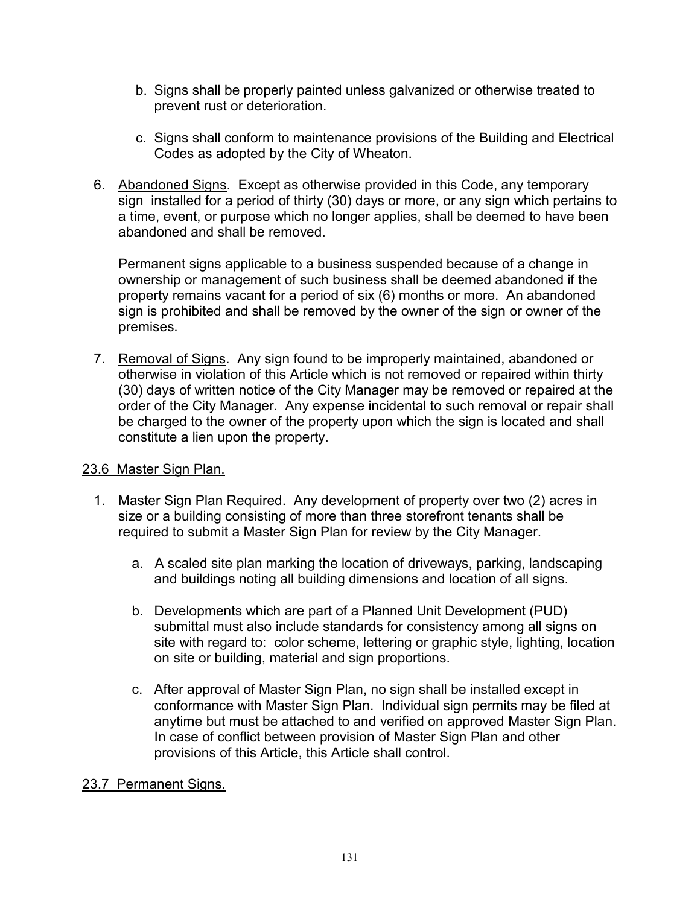- b. Signs shall be properly painted unless galvanized or otherwise treated to prevent rust or deterioration.
- c. Signs shall conform to maintenance provisions of the Building and Electrical Codes as adopted by the City of Wheaton.
- 6. Abandoned Signs. Except as otherwise provided in this Code, any temporary sign installed for a period of thirty (30) days or more, or any sign which pertains to a time, event, or purpose which no longer applies, shall be deemed to have been abandoned and shall be removed.

Permanent signs applicable to a business suspended because of a change in ownership or management of such business shall be deemed abandoned if the property remains vacant for a period of six (6) months or more. An abandoned sign is prohibited and shall be removed by the owner of the sign or owner of the premises.

 7. Removal of Signs. Any sign found to be improperly maintained, abandoned or otherwise in violation of this Article which is not removed or repaired within thirty (30) days of written notice of the City Manager may be removed or repaired at the order of the City Manager. Any expense incidental to such removal or repair shall be charged to the owner of the property upon which the sign is located and shall constitute a lien upon the property.

# 23.6 Master Sign Plan.

- 1. Master Sign Plan Required. Any development of property over two (2) acres in size or a building consisting of more than three storefront tenants shall be required to submit a Master Sign Plan for review by the City Manager.
	- a. A scaled site plan marking the location of driveways, parking, landscaping and buildings noting all building dimensions and location of all signs.
	- b. Developments which are part of a Planned Unit Development (PUD) submittal must also include standards for consistency among all signs on site with regard to: color scheme, lettering or graphic style, lighting, location on site or building, material and sign proportions.
	- c. After approval of Master Sign Plan, no sign shall be installed except in conformance with Master Sign Plan. Individual sign permits may be filed at anytime but must be attached to and verified on approved Master Sign Plan. In case of conflict between provision of Master Sign Plan and other provisions of this Article, this Article shall control.

23.7 Permanent Signs.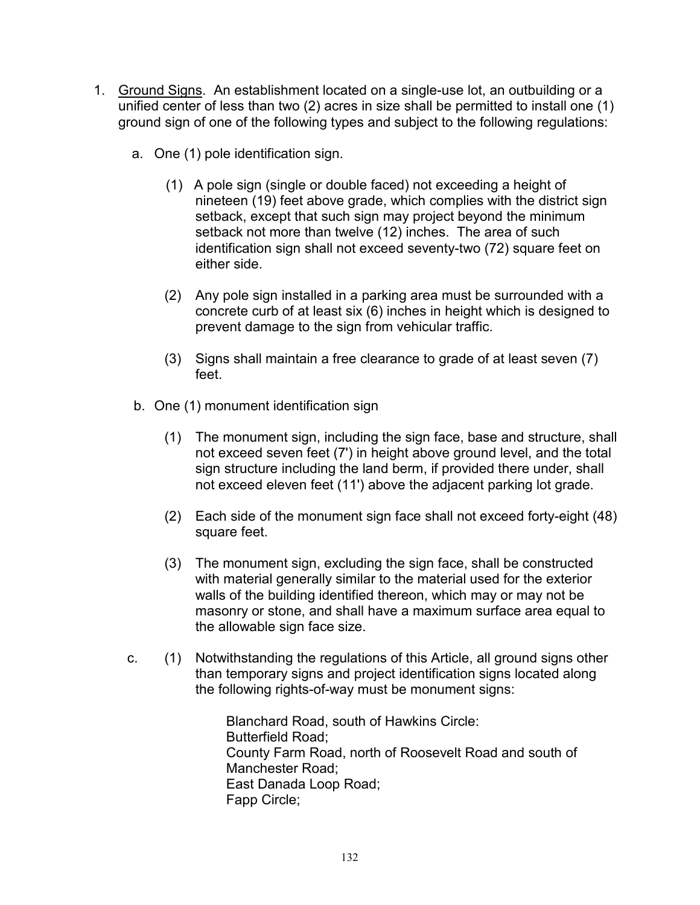- 1. Ground Signs. An establishment located on a single-use lot, an outbuilding or a unified center of less than two (2) acres in size shall be permitted to install one (1) ground sign of one of the following types and subject to the following regulations:
	- a. One (1) pole identification sign.
		- (1) A pole sign (single or double faced) not exceeding a height of nineteen (19) feet above grade, which complies with the district sign setback, except that such sign may project beyond the minimum setback not more than twelve (12) inches. The area of such identification sign shall not exceed seventy-two (72) square feet on either side.
		- (2) Any pole sign installed in a parking area must be surrounded with a concrete curb of at least six (6) inches in height which is designed to prevent damage to the sign from vehicular traffic.
		- (3) Signs shall maintain a free clearance to grade of at least seven (7) feet.
	- b. One (1) monument identification sign
		- (1) The monument sign, including the sign face, base and structure, shall not exceed seven feet (7') in height above ground level, and the total sign structure including the land berm, if provided there under, shall not exceed eleven feet (11') above the adjacent parking lot grade.
		- (2) Each side of the monument sign face shall not exceed forty-eight (48) square feet.
		- (3) The monument sign, excluding the sign face, shall be constructed with material generally similar to the material used for the exterior walls of the building identified thereon, which may or may not be masonry or stone, and shall have a maximum surface area equal to the allowable sign face size.
	- c. (1) Notwithstanding the regulations of this Article, all ground signs other than temporary signs and project identification signs located along the following rights-of-way must be monument signs:

Blanchard Road, south of Hawkins Circle: Butterfield Road; County Farm Road, north of Roosevelt Road and south of Manchester Road; East Danada Loop Road; Fapp Circle;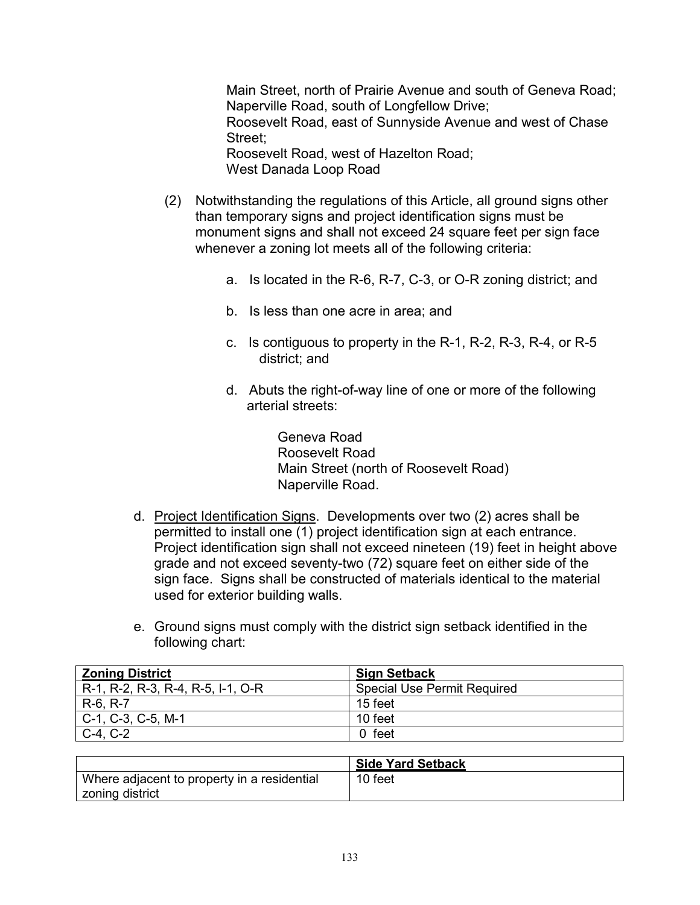Main Street, north of Prairie Avenue and south of Geneva Road; Naperville Road, south of Longfellow Drive; Roosevelt Road, east of Sunnyside Avenue and west of Chase Street; Roosevelt Road, west of Hazelton Road; West Danada Loop Road

- (2) Notwithstanding the regulations of this Article, all ground signs other than temporary signs and project identification signs must be monument signs and shall not exceed 24 square feet per sign face whenever a zoning lot meets all of the following criteria:
	- a. Is located in the R-6, R-7, C-3, or O-R zoning district; and
	- b. Is less than one acre in area; and
	- c. Is contiguous to property in the R-1, R-2, R-3, R-4, or R-5 district; and
	- d. Abuts the right-of-way line of one or more of the following arterial streets:

Geneva Road Roosevelt Road Main Street (north of Roosevelt Road) Naperville Road.

- d. Project Identification Signs. Developments over two (2) acres shall be permitted to install one (1) project identification sign at each entrance. Project identification sign shall not exceed nineteen (19) feet in height above grade and not exceed seventy-two (72) square feet on either side of the sign face. Signs shall be constructed of materials identical to the material used for exterior building walls.
- e. Ground signs must comply with the district sign setback identified in the following chart:

| <b>Zoning District</b>            | <b>Sign Setback</b>                |  |
|-----------------------------------|------------------------------------|--|
| R-1, R-2, R-3, R-4, R-5, I-1, O-R | <b>Special Use Permit Required</b> |  |
| R-6, R-7                          | 15 feet                            |  |
| $C-1, C-3, C-5, M-1$              | 10 feet                            |  |
| $C-4, C-2$                        | feet                               |  |

|                                             | <b>Side Yard Setback</b> |  |
|---------------------------------------------|--------------------------|--|
| Where adjacent to property in a residential | 10 feet                  |  |
| zoning district                             |                          |  |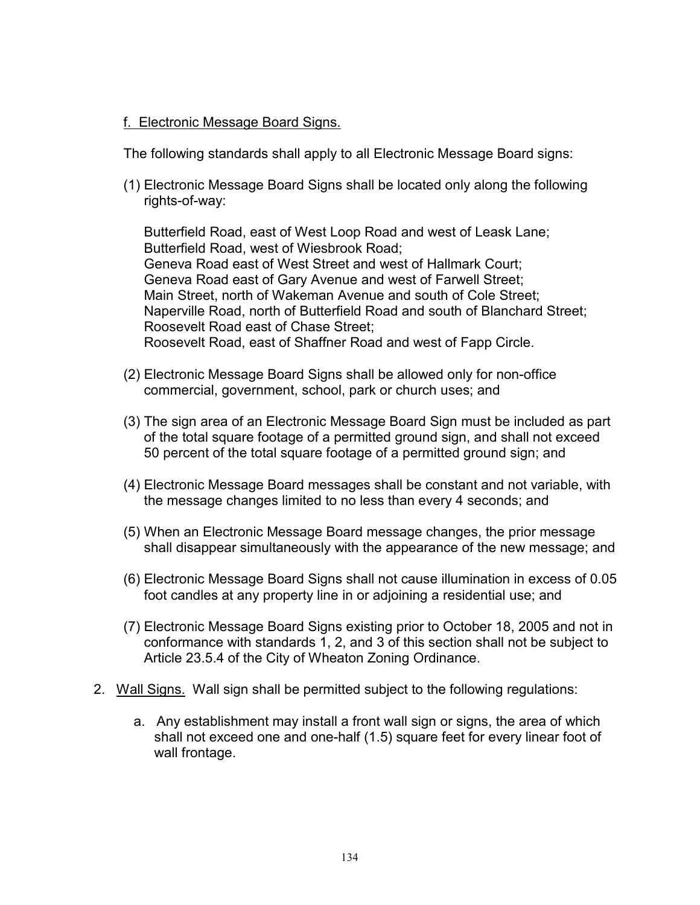## f. Electronic Message Board Signs.

The following standards shall apply to all Electronic Message Board signs:

(1) Electronic Message Board Signs shall be located only along the following rights-of-way:

Butterfield Road, east of West Loop Road and west of Leask Lane; Butterfield Road, west of Wiesbrook Road; Geneva Road east of West Street and west of Hallmark Court; Geneva Road east of Gary Avenue and west of Farwell Street; Main Street, north of Wakeman Avenue and south of Cole Street; Naperville Road, north of Butterfield Road and south of Blanchard Street; Roosevelt Road east of Chase Street; Roosevelt Road, east of Shaffner Road and west of Fapp Circle.

- (2) Electronic Message Board Signs shall be allowed only for non-office commercial, government, school, park or church uses; and
- (3) The sign area of an Electronic Message Board Sign must be included as part of the total square footage of a permitted ground sign, and shall not exceed 50 percent of the total square footage of a permitted ground sign; and
- (4) Electronic Message Board messages shall be constant and not variable, with the message changes limited to no less than every 4 seconds; and
- (5) When an Electronic Message Board message changes, the prior message shall disappear simultaneously with the appearance of the new message; and
- (6) Electronic Message Board Signs shall not cause illumination in excess of 0.05 foot candles at any property line in or adjoining a residential use; and
- (7) Electronic Message Board Signs existing prior to October 18, 2005 and not in conformance with standards 1, 2, and 3 of this section shall not be subject to Article 23.5.4 of the City of Wheaton Zoning Ordinance.
- 2. Wall Signs. Wall sign shall be permitted subject to the following regulations:
	- a. Any establishment may install a front wall sign or signs, the area of which shall not exceed one and one-half (1.5) square feet for every linear foot of wall frontage.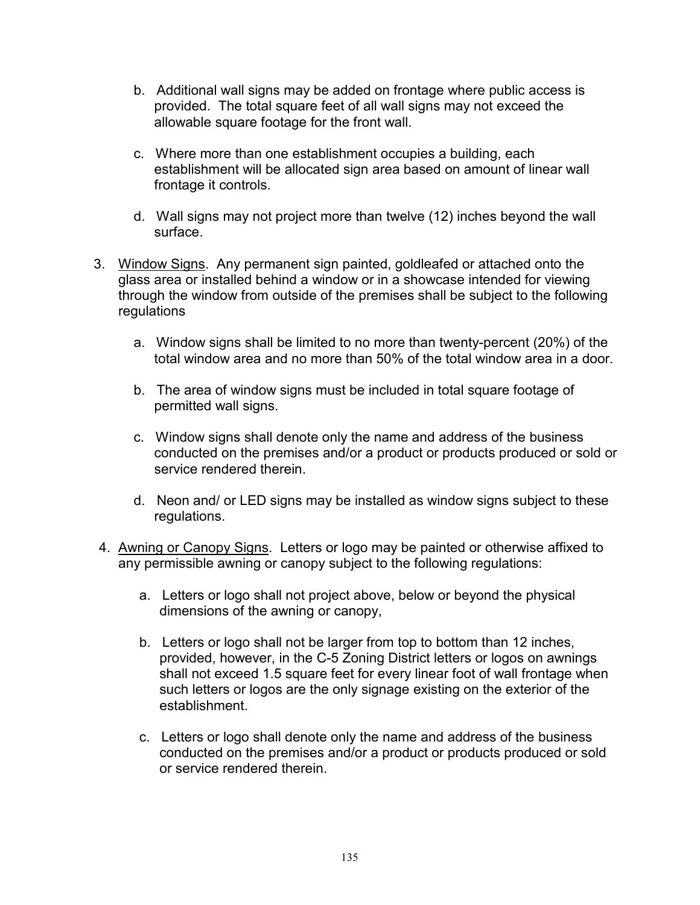- b. Additional wall signs may be added on frontage where public access is provided. The total square feet of all wall signs may not exceed the allowable square footage for the front wall.
- c. Where more than one establishment occupies a building, each establishment will be allocated sign area based on amount of linear wall frontage it controls.
- d. Wall signs may not project more than twelve (12) inches beyond the wall surface.
- 3. Window Signs. Any permanent sign painted, goldleafed or attached onto the glass area or installed behind a window or in a showcase intended for viewing through the window from outside of the premises shall be subject to the following regulations
	- a. Window signs shall be limited to no more than twenty-percent (20%) of the total window area and no more than 50% of the total window area in a door.
	- b. The area of window signs must be included in total square footage of permitted wall signs.
	- c. Window signs shall denote only the name and address of the business conducted on the premises and/or a product or products produced or sold or service rendered therein.
	- d. Neon and/ or LED signs may be installed as window signs subject to these regulations.
- 4. Awning or Canopy Signs. Letters or logo may be painted or otherwise affixed to any permissible awning or canopy subject to the following regulations:
	- a. Letters or logo shall not project above, below or beyond the physical dimensions of the awning or canopy,
	- b. Letters or logo shall not be larger from top to bottom than 12 inches, provided, however, in the C-5 Zoning District letters or logos on awnings shall not exceed 1.5 square feet for every linear foot of wall frontage when such letters or logos are the only signage existing on the exterior of the establishment.
	- c. Letters or logo shall denote only the name and address of the business conducted on the premises and/or a product or products produced or sold or service rendered therein.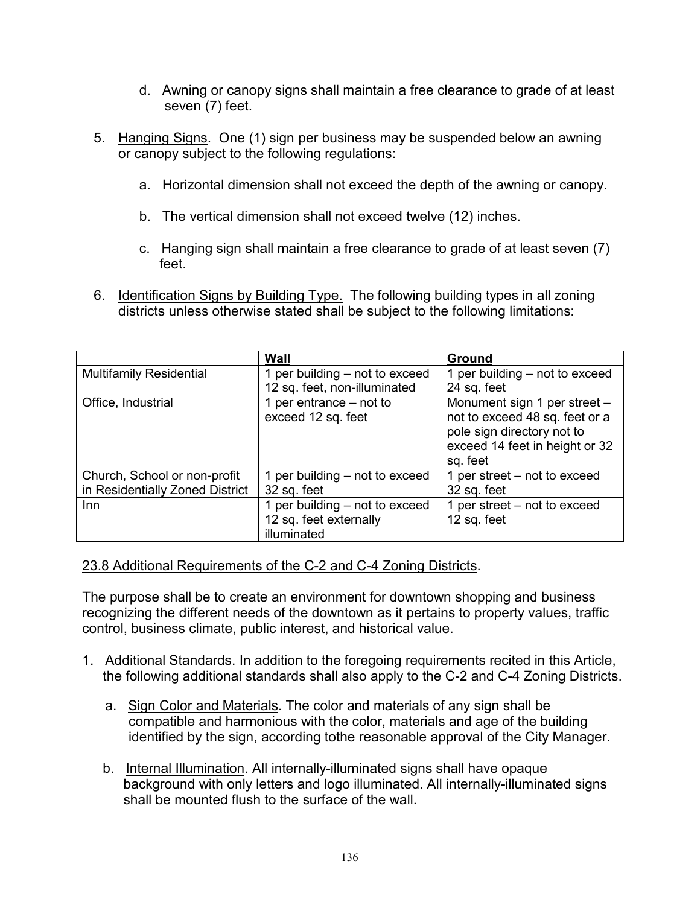- d. Awning or canopy signs shall maintain a free clearance to grade of at least seven (7) feet.
- 5. Hanging Signs. One (1) sign per business may be suspended below an awning or canopy subject to the following regulations:
	- a. Horizontal dimension shall not exceed the depth of the awning or canopy.
	- b. The vertical dimension shall not exceed twelve (12) inches.
	- c. Hanging sign shall maintain a free clearance to grade of at least seven (7) feet.
- 6. Identification Signs by Building Type. The following building types in all zoning districts unless otherwise stated shall be subject to the following limitations:

|                                 | <b>Wall</b>                    | <b>Ground</b>                  |
|---------------------------------|--------------------------------|--------------------------------|
| <b>Multifamily Residential</b>  | 1 per building – not to exceed | 1 per building - not to exceed |
|                                 | 12 sq. feet, non-illuminated   | 24 sq. feet                    |
| Office, Industrial              | 1 per entrance $-$ not to      | Monument sign 1 per street -   |
|                                 | exceed 12 sq. feet             | not to exceed 48 sq. feet or a |
|                                 |                                | pole sign directory not to     |
|                                 |                                | exceed 14 feet in height or 32 |
|                                 |                                | sq. feet                       |
| Church, School or non-profit    | 1 per building – not to exceed | 1 per street – not to exceed   |
| in Residentially Zoned District | 32 sq. feet                    | 32 sq. feet                    |
| Inn                             | 1 per building - not to exceed | 1 per street - not to exceed   |
|                                 | 12 sq. feet externally         | 12 sq. feet                    |
|                                 | illuminated                    |                                |

# 23.8 Additional Requirements of the C-2 and C-4 Zoning Districts.

The purpose shall be to create an environment for downtown shopping and business recognizing the different needs of the downtown as it pertains to property values, traffic control, business climate, public interest, and historical value.

- 1. Additional Standards. In addition to the foregoing requirements recited in this Article, the following additional standards shall also apply to the C-2 and C-4 Zoning Districts.
	- a. Sign Color and Materials. The color and materials of any sign shall be compatible and harmonious with the color, materials and age of the building identified by the sign, according tothe reasonable approval of the City Manager.
	- b. Internal Illumination. All internally-illuminated signs shall have opaque background with only letters and logo illuminated. All internally-illuminated signs shall be mounted flush to the surface of the wall.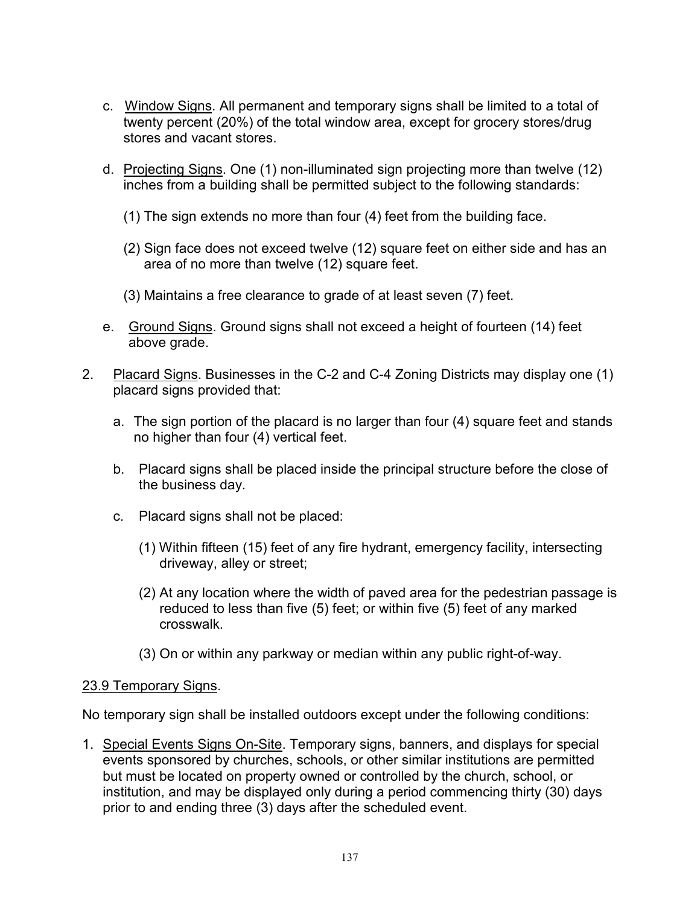- c. Window Signs. All permanent and temporary signs shall be limited to a total of twenty percent (20%) of the total window area, except for grocery stores/drug stores and vacant stores.
- d. Projecting Signs. One (1) non-illuminated sign projecting more than twelve (12) inches from a building shall be permitted subject to the following standards:
	- (1) The sign extends no more than four (4) feet from the building face.
	- (2) Sign face does not exceed twelve (12) square feet on either side and has an area of no more than twelve (12) square feet.
	- (3) Maintains a free clearance to grade of at least seven (7) feet.
- e. Ground Signs. Ground signs shall not exceed a height of fourteen (14) feet above grade.
- 2. Placard Signs. Businesses in the C-2 and C-4 Zoning Districts may display one (1) placard signs provided that:
	- a. The sign portion of the placard is no larger than four (4) square feet and stands no higher than four (4) vertical feet.
	- b. Placard signs shall be placed inside the principal structure before the close of the business day.
	- c. Placard signs shall not be placed:
		- (1) Within fifteen (15) feet of any fire hydrant, emergency facility, intersecting driveway, alley or street;
		- (2) At any location where the width of paved area for the pedestrian passage is reduced to less than five (5) feet; or within five (5) feet of any marked crosswalk.
		- (3) On or within any parkway or median within any public right-of-way.

### 23.9 Temporary Signs.

No temporary sign shall be installed outdoors except under the following conditions:

1. Special Events Signs On-Site. Temporary signs, banners, and displays for special events sponsored by churches, schools, or other similar institutions are permitted but must be located on property owned or controlled by the church, school, or institution, and may be displayed only during a period commencing thirty (30) days prior to and ending three (3) days after the scheduled event.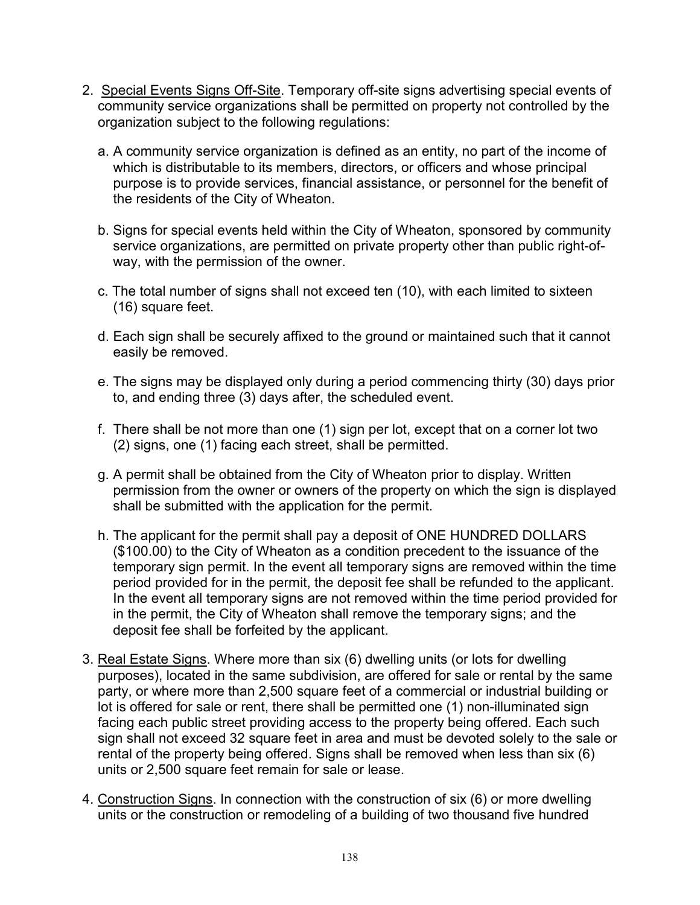- 2. Special Events Signs Off-Site. Temporary off-site signs advertising special events of community service organizations shall be permitted on property not controlled by the organization subject to the following regulations:
	- a. A community service organization is defined as an entity, no part of the income of which is distributable to its members, directors, or officers and whose principal purpose is to provide services, financial assistance, or personnel for the benefit of the residents of the City of Wheaton.
	- b. Signs for special events held within the City of Wheaton, sponsored by community service organizations, are permitted on private property other than public right-ofway, with the permission of the owner.
	- c. The total number of signs shall not exceed ten (10), with each limited to sixteen (16) square feet.
	- d. Each sign shall be securely affixed to the ground or maintained such that it cannot easily be removed.
	- e. The signs may be displayed only during a period commencing thirty (30) days prior to, and ending three (3) days after, the scheduled event.
	- f. There shall be not more than one (1) sign per lot, except that on a corner lot two (2) signs, one (1) facing each street, shall be permitted.
	- g. A permit shall be obtained from the City of Wheaton prior to display. Written permission from the owner or owners of the property on which the sign is displayed shall be submitted with the application for the permit.
	- h. The applicant for the permit shall pay a deposit of ONE HUNDRED DOLLARS (\$100.00) to the City of Wheaton as a condition precedent to the issuance of the temporary sign permit. In the event all temporary signs are removed within the time period provided for in the permit, the deposit fee shall be refunded to the applicant. In the event all temporary signs are not removed within the time period provided for in the permit, the City of Wheaton shall remove the temporary signs; and the deposit fee shall be forfeited by the applicant.
- 3. Real Estate Signs. Where more than six (6) dwelling units (or lots for dwelling purposes), located in the same subdivision, are offered for sale or rental by the same party, or where more than 2,500 square feet of a commercial or industrial building or lot is offered for sale or rent, there shall be permitted one (1) non-illuminated sign facing each public street providing access to the property being offered. Each such sign shall not exceed 32 square feet in area and must be devoted solely to the sale or rental of the property being offered. Signs shall be removed when less than six (6) units or 2,500 square feet remain for sale or lease.
- 4. Construction Signs. In connection with the construction of six (6) or more dwelling units or the construction or remodeling of a building of two thousand five hundred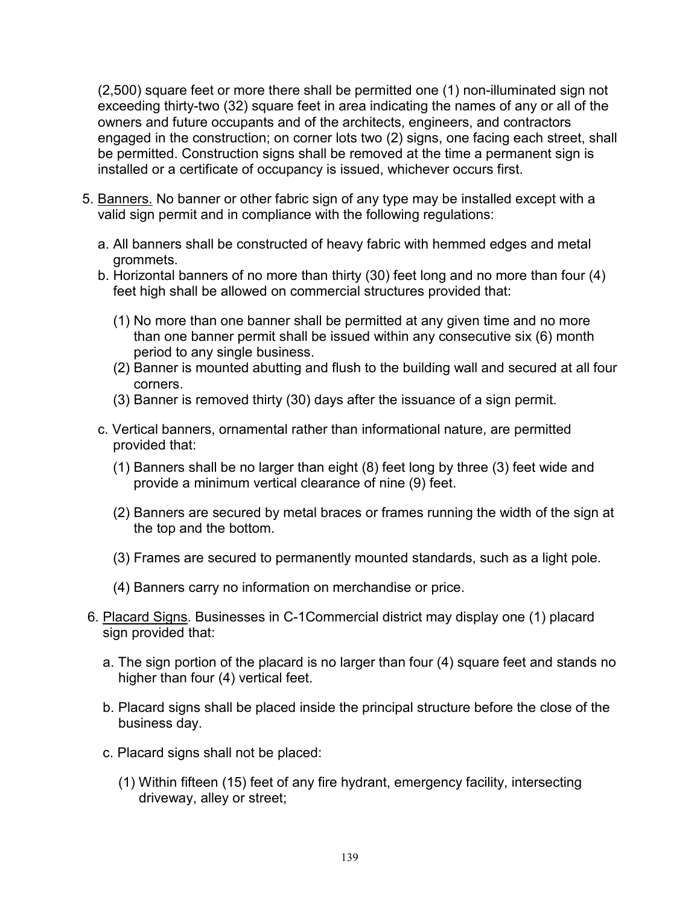(2,500) square feet or more there shall be permitted one (1) non-illuminated sign not exceeding thirty-two (32) square feet in area indicating the names of any or all of the owners and future occupants and of the architects, engineers, and contractors engaged in the construction; on corner lots two (2) signs, one facing each street, shall be permitted. Construction signs shall be removed at the time a permanent sign is installed or a certificate of occupancy is issued, whichever occurs first.

- 5. Banners. No banner or other fabric sign of any type may be installed except with a valid sign permit and in compliance with the following regulations:
	- a. All banners shall be constructed of heavy fabric with hemmed edges and metal grommets.
	- b. Horizontal banners of no more than thirty (30) feet long and no more than four (4) feet high shall be allowed on commercial structures provided that:
		- (1) No more than one banner shall be permitted at any given time and no more than one banner permit shall be issued within any consecutive six (6) month period to any single business.
		- (2) Banner is mounted abutting and flush to the building wall and secured at all four corners.
		- (3) Banner is removed thirty (30) days after the issuance of a sign permit.
	- c. Vertical banners, ornamental rather than informational nature, are permitted provided that:
		- (1) Banners shall be no larger than eight (8) feet long by three (3) feet wide and provide a minimum vertical clearance of nine (9) feet.
		- (2) Banners are secured by metal braces or frames running the width of the sign at the top and the bottom.
		- (3) Frames are secured to permanently mounted standards, such as a light pole.
		- (4) Banners carry no information on merchandise or price.
- 6. Placard Signs. Businesses in C-1Commercial district may display one (1) placard sign provided that:
	- a. The sign portion of the placard is no larger than four (4) square feet and stands no higher than four (4) vertical feet.
	- b. Placard signs shall be placed inside the principal structure before the close of the business day.
	- c. Placard signs shall not be placed:
		- (1) Within fifteen (15) feet of any fire hydrant, emergency facility, intersecting driveway, alley or street;